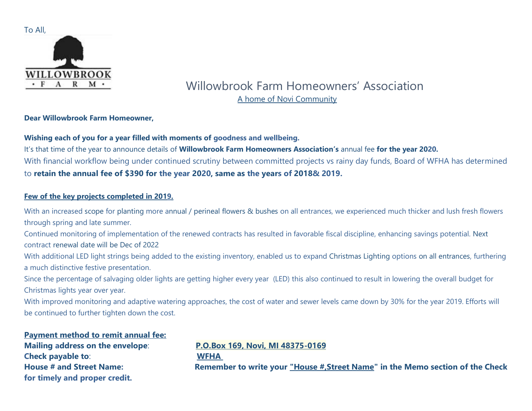

# Willowbrook Farm Homeowners' Association A home of Novi Community

### **Dear Willowbrook Farm Homeowner,**

## **Wishing each of you for a year filled with moments of goodness and wellbeing.**

It's that time of the year to announce details of **Willowbrook Farm Homeowners Association's** annual fee **for the year 2020.** With financial workflow being under continued scrutiny between committed projects vs rainy day funds, Board of WFHA has determined to **retain the annual fee of \$390 for the year 2020, same as the years of 2018& 2019.**

## **Few of the key projects completed in 2019.**

With an increased scope for planting more annual / perineal flowers & bushes on all entrances, we experienced much thicker and lush fresh flowers through spring and late summer.

Continued monitoring of implementation of the renewed contracts has resulted in favorable fiscal discipline, enhancing savings potential. Next contract renewal date will be Dec of 2022

With additional LED light strings being added to the existing inventory, enabled us to expand Christmas Lighting options on all entrances, furthering a much distinctive festive presentation.

Since the percentage of salvaging older lights are getting higher every year (LED) this also continued to result in lowering the overall budget for Christmas lights year over year.

With improved monitoring and adaptive watering approaches, the cost of water and sewer levels came down by 30% for the year 2019. Efforts will be continued to further tighten down the cost.

## **Payment method to remit annual fee:**

**Check payable to**: **WFHA for timely and proper credit.**

## **Mailing address on the envelope**: **P.O.Box 169, Novi, MI 48375-0169**

**House # and Street Name: Remember to write your "House #,Street Name" in the Memo section of the Check**